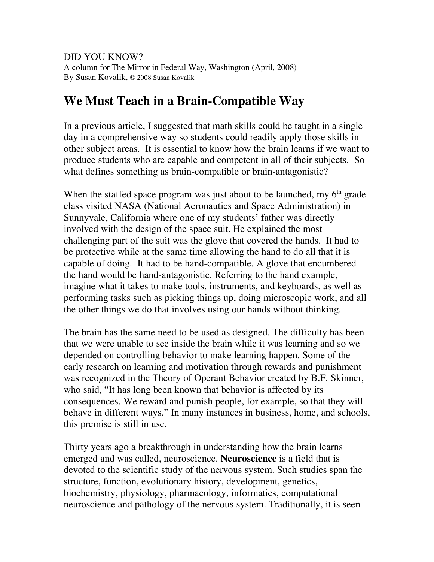DID YOU KNOW? A column for The Mirror in Federal Way, Washington (April, 2008) By Susan Kovalik, © 2008 Susan Kovalik

## **We Must Teach in a Brain-Compatible Way**

In a previous article, I suggested that math skills could be taught in a single day in a comprehensive way so students could readily apply those skills in other subject areas. It is essential to know how the brain learns if we want to produce students who are capable and competent in all of their subjects. So what defines something as brain-compatible or brain-antagonistic?

When the staffed space program was just about to be launched, my  $6<sup>th</sup>$  grade class visited NASA (National Aeronautics and Space Administration) in Sunnyvale, California where one of my students' father was directly involved with the design of the space suit. He explained the most challenging part of the suit was the glove that covered the hands. It had to be protective while at the same time allowing the hand to do all that it is capable of doing. It had to be hand-compatible. A glove that encumbered the hand would be hand-antagonistic. Referring to the hand example, imagine what it takes to make tools, instruments, and keyboards, as well as performing tasks such as picking things up, doing microscopic work, and all the other things we do that involves using our hands without thinking.

The brain has the same need to be used as designed. The difficulty has been that we were unable to see inside the brain while it was learning and so we depended on controlling behavior to make learning happen. Some of the early research on learning and motivation through rewards and punishment was recognized in the Theory of Operant Behavior created by B.F. Skinner, who said, "It has long been known that behavior is affected by its consequences. We reward and punish people, for example, so that they will behave in different ways." In many instances in business, home, and schools, this premise is still in use.

Thirty years ago a breakthrough in understanding how the brain learns emerged and was called, neuroscience. **Neuroscience** is a field that is devoted to the scientific study of the nervous system. Such studies span the structure, function, evolutionary history, development, genetics, biochemistry, physiology, pharmacology, informatics, computational neuroscience and pathology of the nervous system. Traditionally, it is seen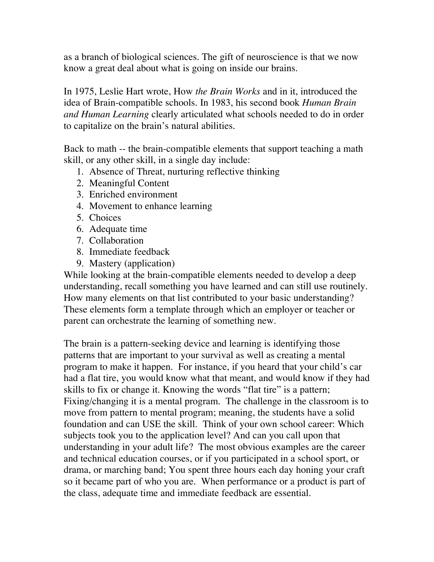as a branch of biological sciences. The gift of neuroscience is that we now know a great deal about what is going on inside our brains.

In 1975, Leslie Hart wrote, How *the Brain Works* and in it, introduced the idea of Brain-compatible schools. In 1983, his second book *Human Brain and Human Learning* clearly articulated what schools needed to do in order to capitalize on the brain's natural abilities.

Back to math -- the brain-compatible elements that support teaching a math skill, or any other skill, in a single day include:

- 1. Absence of Threat, nurturing reflective thinking
- 2. Meaningful Content
- 3. Enriched environment
- 4. Movement to enhance learning
- 5. Choices
- 6. Adequate time
- 7. Collaboration
- 8. Immediate feedback
- 9. Mastery (application)

While looking at the brain-compatible elements needed to develop a deep understanding, recall something you have learned and can still use routinely. How many elements on that list contributed to your basic understanding? These elements form a template through which an employer or teacher or parent can orchestrate the learning of something new.

The brain is a pattern-seeking device and learning is identifying those patterns that are important to your survival as well as creating a mental program to make it happen. For instance, if you heard that your child's car had a flat tire, you would know what that meant, and would know if they had skills to fix or change it. Knowing the words "flat tire" is a pattern; Fixing/changing it is a mental program. The challenge in the classroom is to move from pattern to mental program; meaning, the students have a solid foundation and can USE the skill. Think of your own school career: Which subjects took you to the application level? And can you call upon that understanding in your adult life? The most obvious examples are the career and technical education courses, or if you participated in a school sport, or drama, or marching band; You spent three hours each day honing your craft so it became part of who you are. When performance or a product is part of the class, adequate time and immediate feedback are essential.